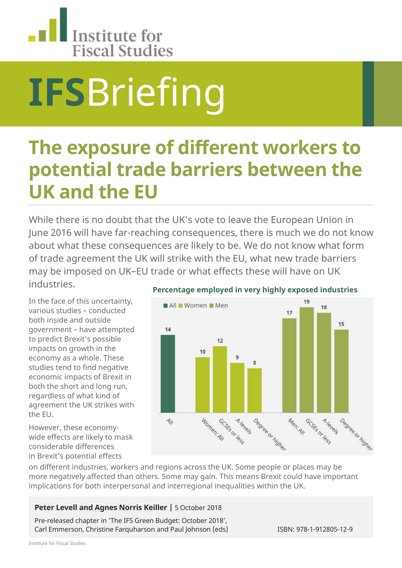

# **IFS**Briefing

## **The exposure of different workers to potential trade barriers between the UK and the EU**

While there is no doubt that the UK's vote to leave the European Union in June 2016 will have far-reaching consequences, there is much we do not know about what these consequences are likely to be. We do not know what form of trade agreement the UK will strike with the EU, what new trade barriers may be imposed on UK–EU trade or what effects these will have on UK industries.

In the face of this uncertainty, various studies – conducted both inside and outside government – have attempted to predict Brexit's possible impacts on growth in the economy as a whole. These studies tend to find negative economic impacts of Brexit in both the short and long run, regardless of what kind of agreement the UK strikes with the EU.

However, these economywide effects are likely to mask considerable differences in Brexit's potential effects



#### **Percentage employed in very highly exposed industries**

on different industries, workers and regions across the UK. Some people or places may be more negatively affected than others. Some may gain. This means Brexit could have important implications for both interpersonal and interregional inequalities within the UK.

#### **Peter Levell and Agnes Norris Keiller |** 5 October 2018

Pre-released chapter in 'The IFS Green Budget: October 2018', Carl Emmerson, Christine Farquharson and Paul Johnson (eds) ISBN: 978-1-912805-12-9